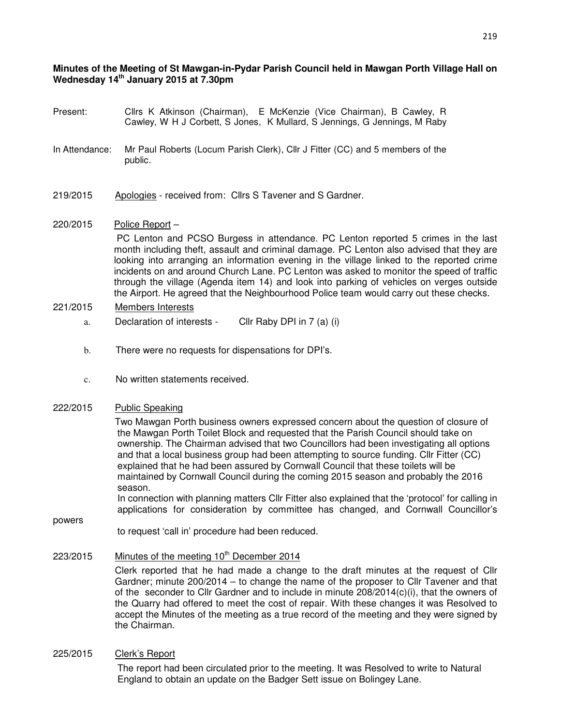## **Minutes of the Meeting of St Mawgan-in-Pydar Parish Council held in Mawgan Porth Village Hall on Wednesday 14th January 2015 at 7.30pm**

- Present: Cllrs K Atkinson (Chairman), E McKenzie (Vice Chairman), B Cawley, R Cawley, W H J Corbett, S Jones, K Mullard, S Jennings, G Jennings, M Raby
- In Attendance: Mr Paul Roberts (Locum Parish Clerk), Cllr J Fitter (CC) and 5 members of the public.
- 219/2015 Apologies received from: Cllrs S Tavener and S Gardner.
- 220/2015 Police Report –

 PC Lenton and PCSO Burgess in attendance. PC Lenton reported 5 crimes in the last month including theft, assault and criminal damage. PC Lenton also advised that they are looking into arranging an information evening in the village linked to the reported crime incidents on and around Church Lane. PC Lenton was asked to monitor the speed of traffic through the village (Agenda item 14) and look into parking of vehicles on verges outside the Airport. He agreed that the Neighbourhood Police team would carry out these checks.

## 221/2015 Members Interests

- a. Declaration of interests Cllr Raby DPI in 7 (a) (i)
- b. There were no requests for dispensations for DPI's.
- c. No written statements received.

# 222/2015 Public Speaking

powers

 Two Mawgan Porth business owners expressed concern about the question of closure of the Mawgan Porth Toilet Block and requested that the Parish Council should take on ownership. The Chairman advised that two Councillors had been investigating all options and that a local business group had been attempting to source funding. Cllr Fitter (CC) explained that he had been assured by Cornwall Council that these toilets will be maintained by Cornwall Council during the coming 2015 season and probably the 2016 season.

 In connection with planning matters Cllr Fitter also explained that the 'protocol' for calling in applications for consideration by committee has changed, and Cornwall Councillor's

to request 'call in' procedure had been reduced.

## $223/2015$  Minutes of the meeting  $10<sup>th</sup>$  December 2014

Clerk reported that he had made a change to the draft minutes at the request of Cllr Gardner; minute 200/2014 – to change the name of the proposer to Cllr Tavener and that of the seconder to Cllr Gardner and to include in minute 208/2014(c)(i), that the owners of the Quarry had offered to meet the cost of repair. With these changes it was Resolved to accept the Minutes of the meeting as a true record of the meeting and they were signed by the Chairman.

#### 225/2015 Clerk's Report

 The report had been circulated prior to the meeting. It was Resolved to write to Natural England to obtain an update on the Badger Sett issue on Bolingey Lane.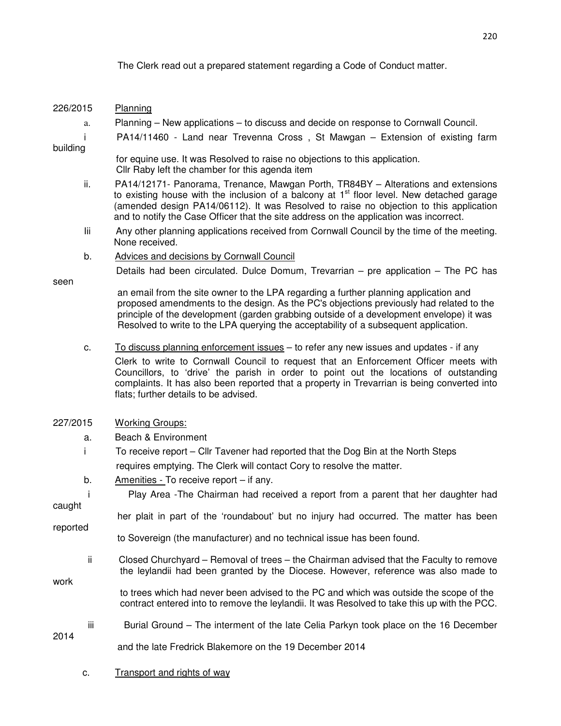The Clerk read out a prepared statement regarding a Code of Conduct matter.

- 226/2015 Planning a. Planning – New applications – to discuss and decide on response to Cornwall Council. i PA14/11460 - Land near Trevenna Cross , St Mawgan – Extension of existing farm building for equine use. It was Resolved to raise no objections to this application. Cllr Raby left the chamber for this agenda item ii. PA14/12171- Panorama, Trenance, Mawgan Porth, TR84BY – Alterations and extensions to existing house with the inclusion of a balcony at  $1<sup>st</sup>$  floor level. New detached garage (amended design PA14/06112). It was Resolved to raise no objection to this application and to notify the Case Officer that the site address on the application was incorrect. Iii Any other planning applications received from Cornwall Council by the time of the meeting. None received. b. Advices and decisions by Cornwall Council Details had been circulated. Dulce Domum, Trevarrian – pre application – The PC has seen an email from the site owner to the LPA regarding a further planning application and proposed amendments to the design. As the PC's objections previously had related to the principle of the development (garden grabbing outside of a development envelope) it was Resolved to write to the LPA querying the acceptability of a subsequent application. c. To discuss planning enforcement issues – to refer any new issues and updates - if any Clerk to write to Cornwall Council to request that an Enforcement Officer meets with Councillors, to 'drive' the parish in order to point out the locations of outstanding complaints. It has also been reported that a property in Trevarrian is being converted into flats; further details to be advised. 227/2015 Working Groups: a. Beach & Environment i To receive report – Cllr Tavener had reported that the Dog Bin at the North Steps requires emptying. The Clerk will contact Cory to resolve the matter. b. Amenities - To receive report – if any. i Play Area -The Chairman had received a report from a parent that her daughter had caught her plait in part of the 'roundabout' but no injury had occurred. The matter has been reported to Sovereign (the manufacturer) and no technical issue has been found. ii Closed Churchyard – Removal of trees – the Chairman advised that the Faculty to remove the leylandii had been granted by the Diocese. However, reference was also made to work to trees which had never been advised to the PC and which was outside the scope of the contract entered into to remove the leylandii. It was Resolved to take this up with the PCC. iii Burial Ground – The interment of the late Celia Parkyn took place on the 16 December 2014
	- and the late Fredrick Blakemore on the 19 December 2014
	- c. Transport and rights of way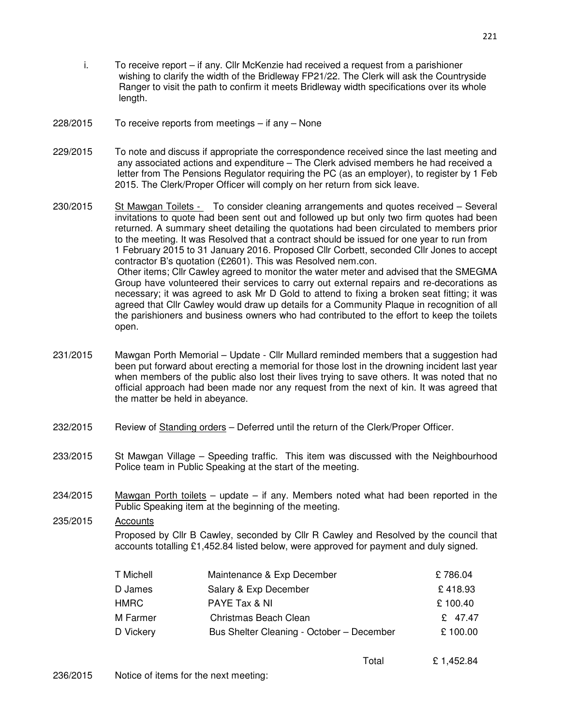- i. To receive report if any. Cllr McKenzie had received a request from a parishioner wishing to clarify the width of the Bridleway FP21/22. The Clerk will ask the Countryside Ranger to visit the path to confirm it meets Bridleway width specifications over its whole length.
- 228/2015 To receive reports from meetings if any None
- 229/2015 To note and discuss if appropriate the correspondence received since the last meeting and any associated actions and expenditure – The Clerk advised members he had received a letter from The Pensions Regulator requiring the PC (as an employer), to register by 1 Feb 2015. The Clerk/Proper Officer will comply on her return from sick leave.
- 230/2015 St Mawgan Toilets To consider cleaning arrangements and quotes received Several invitations to quote had been sent out and followed up but only two firm quotes had been returned. A summary sheet detailing the quotations had been circulated to members prior to the meeting. It was Resolved that a contract should be issued for one year to run from 1 February 2015 to 31 January 2016. Proposed Cllr Corbett, seconded Cllr Jones to accept contractor B's quotation (£2601). This was Resolved nem.con. Other items; Cllr Cawley agreed to monitor the water meter and advised that the SMEGMA Group have volunteered their services to carry out external repairs and re-decorations as necessary; it was agreed to ask Mr D Gold to attend to fixing a broken seat fitting; it was agreed that Cllr Cawley would draw up details for a Community Plaque in recognition of all the parishioners and business owners who had contributed to the effort to keep the toilets open.
- 231/2015 Mawgan Porth Memorial Update Cllr Mullard reminded members that a suggestion had been put forward about erecting a memorial for those lost in the drowning incident last year when members of the public also lost their lives trying to save others. It was noted that no official approach had been made nor any request from the next of kin. It was agreed that the matter be held in abeyance.
- 232/2015 Review of Standing orders Deferred until the return of the Clerk/Proper Officer.
- 233/2015 St Mawgan Village Speeding traffic. This item was discussed with the Neighbourhood Police team in Public Speaking at the start of the meeting.
- $234/2015$  Mawgan Porth toilets update if any. Members noted what had been reported in the Public Speaking item at the beginning of the meeting.
- 235/2015 Accounts Proposed by Cllr B Cawley, seconded by Cllr R Cawley and Resolved by the council that accounts totalling £1,452.84 listed below, were approved for payment and duly signed.

| T Michell | Maintenance & Exp December                | £786.04 |
|-----------|-------------------------------------------|---------|
| D James   | Salary & Exp December                     | £418.93 |
| HMRC.     | PAYE Tax & NI                             | £100.40 |
| M Farmer  | Christmas Beach Clean                     | £ 47.47 |
| D Vickery | Bus Shelter Cleaning - October - December | £100.00 |
|           |                                           |         |